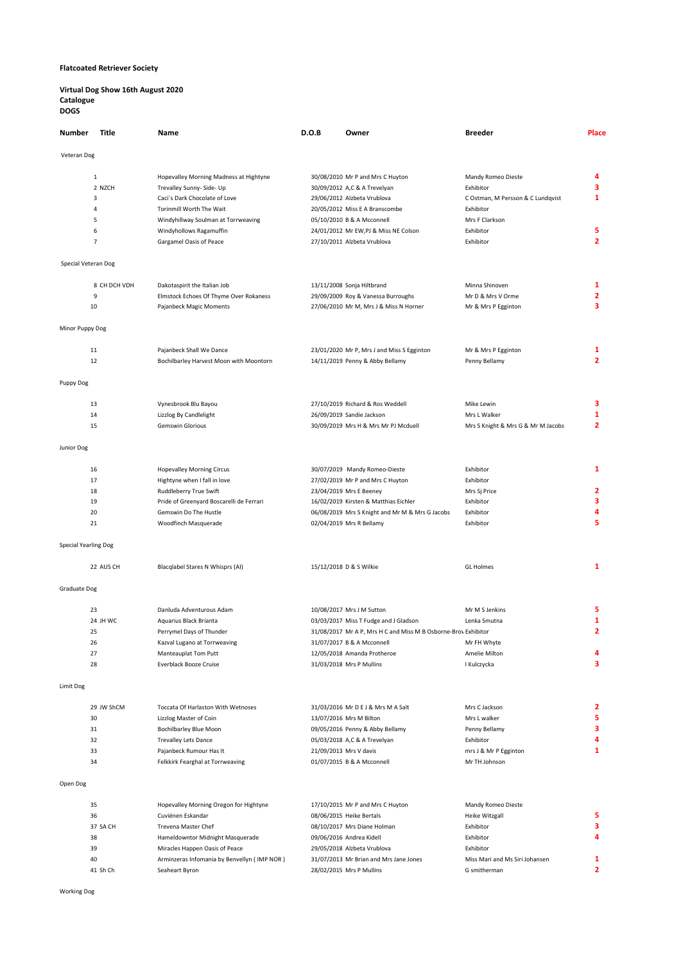# Flatcoated Retriever Society

#### Virtual Dog Show 16th August 2020 Catalogue DOGS

| Number               | Title          | Name                                        | D.O.B | Owner                                                          | <b>Breeder</b>                     | Place          |
|----------------------|----------------|---------------------------------------------|-------|----------------------------------------------------------------|------------------------------------|----------------|
| Veteran Dog          |                |                                             |       |                                                                |                                    |                |
|                      | $\mathbf{1}$   | Hopevalley Morning Madness at Hightyne      |       | 30/08/2010 Mr P and Mrs C Huyton                               | Mandy Romeo Dieste                 | 4              |
|                      | 2 NZCH         | Trevalley Sunny- Side- Up                   |       | 30/09/2012 A,C & A Trevelyan                                   | Exhibitor                          | 3              |
|                      | 3              | Caci's Dark Chocolate of Love               |       | 29/06/2012 Alzbeta Vrublova                                    |                                    | $\mathbf{1}$   |
|                      | 4              | Torinmill Worth The Wait                    |       |                                                                | C Ostman, M Persson & C Lundqvist  |                |
|                      |                |                                             |       | 20/05/2012 Miss E A Branscombe                                 | Exhibitor                          |                |
|                      | 5              | Windyhillway Soulman at Torrweaving         |       | 05/10/2010 B & A Mcconnell                                     | Mrs F Clarkson                     |                |
|                      | 6              | Windyhollows Ragamuffin                     |       | 24/01/2012 Mr EW,PJ & Miss NE Colson                           | Exhibitor                          | 5              |
|                      | $\overline{7}$ | Gargamel Oasis of Peace                     |       | 27/10/2011 Alzbeta Vrublova                                    | Exhibitor                          | $\overline{2}$ |
| Special Veteran Dog  |                |                                             |       |                                                                |                                    |                |
|                      | 8 CH DCH VDH   | Dakotaspirit the Italian Job                |       | 13/11/2008 Sonja Hiltbrand                                     | Minna Shinoven                     | 1              |
|                      | 9              | Elmstock Echoes Of Thyme Over Rokaness      |       | 29/09/2009 Roy & Vanessa Burroughs                             | Mr D & Mrs V Orme                  | $\overline{2}$ |
|                      | 10             | Pajanbeck Magic Moments                     |       | 27/06/2010 Mr M, Mrs J & Miss N Horner                         | Mr & Mrs P Egginton                | 3              |
| Minor Puppy Dog      |                |                                             |       |                                                                |                                    |                |
|                      | 11             | Pajanbeck Shall We Dance                    |       | 23/01/2020 Mr P, Mrs J and Miss S Egginton                     | Mr & Mrs P Egginton                | 1              |
|                      | 12             | Bochilbarley Harvest Moon with Moontorn     |       | 14/11/2019 Penny & Abby Bellamy                                | Penny Bellamy                      | $\overline{2}$ |
|                      |                |                                             |       |                                                                |                                    |                |
| Puppy Dog            |                |                                             |       |                                                                |                                    |                |
|                      | 13             | Vynesbrook Blu Bayou                        |       | 27/10/2019 Richard & Ros Weddell                               | Mike Lewin                         | з              |
|                      | 14             | Lizzlog By Candlelight                      |       | 26/09/2019 Sandie Jackson                                      | Mrs L Walker                       | $\mathbf{1}$   |
|                      | 15             | <b>Gemswin Glorious</b>                     |       | 30/09/2019 Mrs H & Mrs Mr PJ Mcduell                           | Mrs S Knight & Mrs G & Mr M Jacobs | $\overline{2}$ |
| Junior Dog           |                |                                             |       |                                                                |                                    |                |
|                      |                |                                             |       |                                                                |                                    |                |
|                      | 16             | <b>Hopevalley Morning Circus</b>            |       | 30/07/2019 Mandy Romeo-Dieste                                  | Exhibitor                          | $\mathbf{1}$   |
|                      | 17             | Hightyne when I fall in love                |       | 27/02/2019 Mr P and Mrs C Huyton                               | Exhibitor                          |                |
|                      | 18             | Ruddleberry True Swift                      |       | 23/04/2019 Mrs E Beeney                                        | Mrs Sj Price                       | 2              |
|                      | 19             | Pride of Greenyard Boscarelli de Ferrari    |       | 16/02/2019 Kirsten & Matthias Eichler                          | Exhibitor                          | 3              |
|                      | 20             | Gemswin Do The Hustle                       |       | 06/08/2019 Mrs S Knight and Mr M & Mrs G Jacobs                | Exhibitor                          | 4              |
|                      | 21             | Woodfinch Masquerade                        |       | 02/04/2019 Mrs R Bellamy                                       | Exhibitor                          | 5              |
| Special Yearling Dog |                |                                             |       |                                                                |                                    |                |
|                      | 22 AUS CH      | Blacqlabel Stares N Whisprs (AI)            |       | 15/12/2018 D & S Wilkie                                        | <b>GL Holmes</b>                   | $\mathbf{1}$   |
|                      |                |                                             |       |                                                                |                                    |                |
| Graduate Dog         |                |                                             |       |                                                                |                                    |                |
|                      | 23             | Danluda Adventurous Adam                    |       | 10/08/2017 Mrs J M Sutton                                      | Mr M S Jenkins                     | 5              |
|                      | 24 JH WC       | Aquarius Black Brianta                      |       | 03/03/2017 Miss T Fudge and J Gladson                          | Lenka Smutna                       | 1              |
|                      | 25             | Perrymel Days of Thunder                    |       | 31/08/2017 Mr A P, Mrs H C and Miss M B Osborne-Brov Exhibitor |                                    | $\overline{2}$ |
|                      | 26             | Kazval Lugano at Torrweaving                |       | 31/07/2017 B & A Mcconnell                                     | Mr FH Whyte                        |                |
|                      | 27             | Manteauplat Tom Putt                        |       | 12/05/2018 Amanda Protheroe                                    | Amelie Milton                      | 4              |
|                      | 28             | Everblack Booze Cruise                      |       | 31/03/2018 Mrs P Mullins                                       | I Kulczycka                        | 3              |
|                      |                |                                             |       |                                                                |                                    |                |
| Limit Dog            |                |                                             |       |                                                                |                                    |                |
|                      | 29 JW ShCM     | Toccata Of Harlaston With Wetnoses          |       | 31/03/2016 Mr D E J & Mrs M A Salt                             | Mrs C Jackson                      | 2              |
|                      | 30             | Lizzlog Master of Coin                      |       | 13/07/2016 Mrs M Bilton                                        | Mrs L walker                       | 5              |
|                      | 31             | <b>Bochilbarley Blue Moon</b>               |       | 09/05/2016 Penny & Abby Bellamy                                | Penny Bellamy                      | 3              |
|                      | 32             | <b>Trevalley Lets Dance</b>                 |       | 05/03/2018 A,C & A Trevelyan                                   | Exhibitor                          | 4              |
|                      | 33             | Pajanbeck Rumour Has It                     |       | 21/09/2013 Mrs V davis                                         | mrs J & Mr P Egginton              | $\mathbf{1}$   |
|                      | 34             | Felkkirk Fearghal at Torrweaving            |       | 01/07/2015 B & A Mcconnell                                     | Mr TH Johnson                      |                |
|                      |                |                                             |       |                                                                |                                    |                |
| Open Dog             |                |                                             |       |                                                                |                                    |                |
|                      | 35             | Hopevalley Morning Oregon for Hightyne      |       | 17/10/2015 Mr P and Mrs C Huyton                               | Mandy Romeo Dieste                 |                |
|                      | 36             | Cuviénen Eskandar                           |       | 08/06/2015 Heike Bertals                                       | Heike Witzgall                     | 5              |
|                      | 37 SA CH       | Trevena Master Chef                         |       | 08/10/2017 Mrs Diane Holman                                    | Exhibitor                          | 3              |
|                      | 38             | Hameldowntor Midnight Masquerade            |       | 09/06/2016 Andrea Kidell                                       | Exhibitor                          | 4              |
|                      | 39             | Miracles Happen Oasis of Peace              |       | 29/05/2018 Alzbeta Vrublova                                    | Exhibitor                          |                |
|                      | 40             | Arminzeras Infomania by Benvellyn (IMP NOR) |       | 31/07/2013 Mr Brian and Mrs Jane Jones                         | Miss Mari and Ms Siri Johansen     | 1              |
|                      | 41 Sh Ch       | Seaheart Byron                              |       | 28/02/2015 Mrs P Mullins                                       | G smitherman                       | $\overline{2}$ |
|                      |                |                                             |       |                                                                |                                    |                |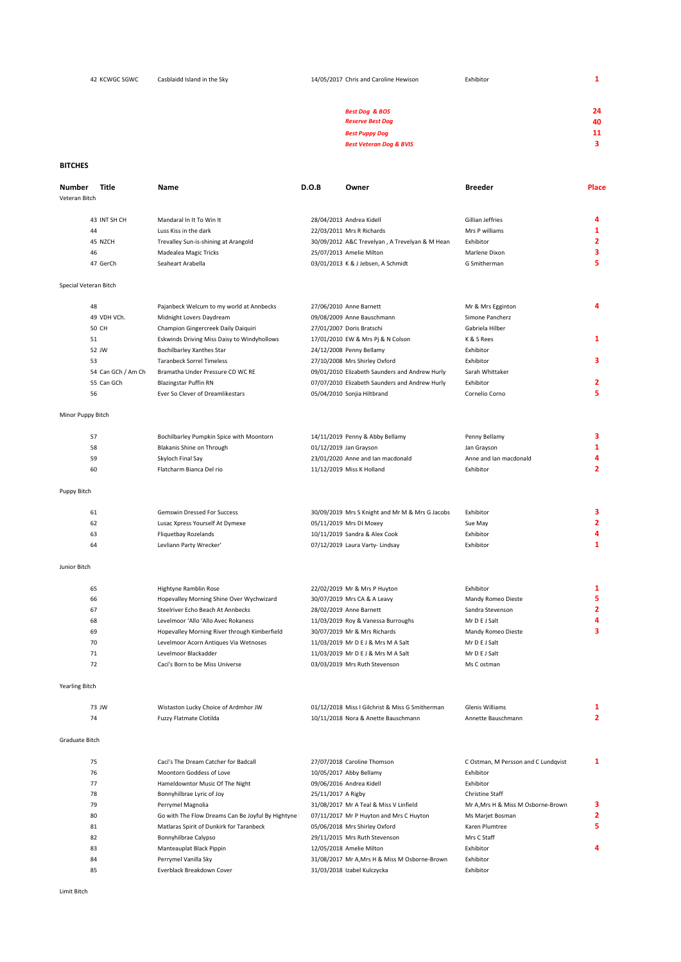| 42 KCWGC SGWC | Casblaidd Island in the Sky | Exhibitor<br>14/05/2017 Chris and Caroline Hewison   | 1        |
|---------------|-----------------------------|------------------------------------------------------|----------|
|               |                             | <b>Best Dog &amp; BOS</b><br><b>Reserve Best Dog</b> | 24<br>40 |
|               |                             | <b>Best Puppy Dog</b>                                | 11       |
|               |                             | <b>Best Veteran Dog &amp; BVIS</b>                   | 3        |
|               |                             |                                                      |          |

## **BITCHES**

| Number                | Title              | Name                                                | D.O.B              | Owner                                           | <b>Breeder</b>                        | Place               |
|-----------------------|--------------------|-----------------------------------------------------|--------------------|-------------------------------------------------|---------------------------------------|---------------------|
| Veteran Bitch         |                    |                                                     |                    |                                                 |                                       |                     |
|                       |                    |                                                     |                    |                                                 |                                       |                     |
|                       | 43 INT SH CH       | Mandaral In It To Win It                            |                    | 28/04/2013 Andrea Kidell                        | Gillian Jeffries                      | 4                   |
|                       | 44                 | Luss Kiss in the dark                               |                    | 22/03/2011 Mrs R Richards                       | Mrs P williams                        | 1                   |
|                       | 45 NZCH            | Trevalley Sun-is-shining at Arangold                |                    | 30/09/2012 A&C Trevelyan, A Trevelyan & M Hean  | Exhibitor                             | 2                   |
|                       | 46                 | Madealea Magic Tricks                               |                    | 25/07/2013 Amelie Milton                        | Marlene Dixon                         | 3                   |
|                       | 47 GerCh           | Seaheart Arabella                                   |                    | 03/01/2013 K & J Jebsen, A Schmidt              | G Smitherman                          | 5                   |
| Special Veteran Bitch |                    |                                                     |                    |                                                 |                                       |                     |
|                       |                    |                                                     |                    |                                                 |                                       |                     |
|                       | 48                 | Pajanbeck Welcum to my world at Annbecks            |                    | 27/06/2010 Anne Barnett                         | Mr & Mrs Egginton                     | 4                   |
|                       | 49 VDH VCh.        | Midnight Lovers Daydream                            |                    | 09/08/2009 Anne Bauschmann                      | Simone Pancherz                       |                     |
|                       | 50 CH              | Champion Gingercreek Daily Daiquiri                 |                    | 27/01/2007 Doris Bratschi                       | Gabriela Hilber                       |                     |
|                       | 51                 | Eskwinds Driving Miss Daisy to Windyhollows         |                    | 17/01/2010 EW & Mrs Pj & N Colson               | K & S Rees                            | $\mathbf{1}$        |
|                       | 52 JW              | Bochilbarley Xanthes Star                           |                    | 24/12/2008 Penny Bellamy                        | Exhibitor                             |                     |
|                       | 53                 | <b>Taranbeck Sorrel Timeless</b>                    |                    | 27/10/2008 Mrs Shirley Oxford                   | Exhibitor                             | 3                   |
|                       | 54 Can GCh / Am Ch | Bramatha Under Pressure CD WC RE                    |                    | 09/01/2010 Elizabeth Saunders and Andrew Hurly  | Sarah Whittaker                       |                     |
|                       | 55 Can GCh         | <b>Blazingstar Puffin RN</b>                        |                    | 07/07/2010 Elizabeth Saunders and Andrew Hurly  | Exhibitor                             | 2                   |
|                       | 56                 | Ever So Clever of Dreamlikestars                    |                    | 05/04/2010 Sonjia Hiltbrand                     | Cornelio Corno                        | 5                   |
| Minor Puppy Bitch     |                    |                                                     |                    |                                                 |                                       |                     |
|                       | 57                 | Bochilbarley Pumpkin Spice with Moontorn            |                    | 14/11/2019 Penny & Abby Bellamy                 | Penny Bellamy                         | з                   |
|                       | 58                 | Blakanis Shine on Through                           |                    | 01/12/2019 Jan Grayson                          | Jan Grayson                           | $\mathbf{1}$        |
|                       | 59                 |                                                     |                    |                                                 | Anne and Ian macdonald                | 4                   |
|                       |                    | Skyloch Final Say<br>Flatcharm Bianca Del rio       |                    | 23/01/2020 Anne and lan macdonald               | Exhibitor                             | $\overline{2}$      |
|                       | 60                 |                                                     |                    | 11/12/2019 Miss K Holland                       |                                       |                     |
| Puppy Bitch           |                    |                                                     |                    |                                                 |                                       |                     |
|                       | 61                 | Gemswin Dressed For Success                         |                    | 30/09/2019 Mrs S Knight and Mr M & Mrs G Jacobs | Exhibitor                             | з                   |
|                       | 62                 | Lusac Xpress Yourself At Dymexe                     |                    | 05/11/2019 Mrs DI Moxey                         | Sue May                               | $\overline{2}$      |
|                       | 63                 | <b>Fliquetbay Rozelands</b>                         |                    | 10/11/2019 Sandra & Alex Cook                   | Exhibitor                             | 4                   |
|                       | 64                 | Levliann Party Wrecker'                             |                    | 07/12/2019 Laura Varty- Lindsay                 | Exhibitor                             | $\mathbf{1}$        |
| Junior Bitch          |                    |                                                     |                    |                                                 |                                       |                     |
|                       |                    |                                                     |                    |                                                 |                                       |                     |
|                       | 65                 | Hightyne Ramblin Rose                               |                    | 22/02/2019 Mr & Mrs P Huyton                    | Exhibitor                             | 1                   |
|                       | 66                 | Hopevalley Morning Shine Over Wychwizard            |                    | 30/07/2019 Mrs CA & A Leavy                     | Mandy Romeo Dieste                    | 5                   |
|                       | 67                 | Steelriver Echo Beach At Annbecks                   |                    | 28/02/2019 Anne Barnett                         | Sandra Stevenson                      | 2                   |
|                       | 68                 | Levelmoor 'Allo 'Allo Avec Rokaness                 |                    | 11/03/2019 Roy & Vanessa Burroughs              | Mr D E J Salt                         | 4                   |
|                       | 69                 | Hopevalley Morning River through Kimberfield        |                    | 30/07/2019 Mr & Mrs Richards                    | Mandy Romeo Dieste                    | 3                   |
|                       | 70                 | Levelmoor Acorn Antiques Via Wetnoses               |                    | 11/03/2019 Mr D E J & Mrs M A Salt              | Mr D E J Salt                         |                     |
|                       | 71                 | Levelmoor Blackadder                                |                    | 11/03/2019 Mr D E J & Mrs M A Salt              | Mr D E J Salt                         |                     |
|                       | 72                 | Caci's Born to be Miss Universe                     |                    | 03/03/2019 Mrs Ruth Stevenson                   | Ms C ostman                           |                     |
| <b>Yearling Bitch</b> |                    |                                                     |                    |                                                 |                                       |                     |
|                       |                    |                                                     |                    |                                                 |                                       |                     |
|                       | 73 JW              | Wistaston Lucky Choice of Ardmhor JW                |                    | 01/12/2018 Miss I Gilchrist & Miss G Smitherman | Glenis Williams<br>Annette Bauschmann | 1<br>$\overline{2}$ |
|                       | 74                 | Fuzzy Flatmate Clotilda                             |                    | 10/11/2018 Nora & Anette Bauschmann             |                                       |                     |
| <b>Graduate Bitch</b> |                    |                                                     |                    |                                                 |                                       |                     |
|                       | 75                 | Caci's The Dream Catcher for Badcall                |                    | 27/07/2018 Caroline Thomson                     | C Ostman, M Persson and C Lundqvist   | 1                   |
|                       | 76                 | Moontorn Goddess of Love                            |                    | 10/05/2017 Abby Bellamy                         | Exhibitor                             |                     |
|                       | 77                 | Hameldowntor Music Of The Night                     |                    | 09/06/2016 Andrea Kidell                        | Exhibitor                             |                     |
|                       | 78                 | Bonnyhilbrae Lyric of Joy                           | 25/11/2017 A Rigby |                                                 | <b>Christine Staff</b>                |                     |
|                       | 79                 | Perrymel Magnolia                                   |                    | 31/08/2017 Mr A Teal & Miss V Linfield          | Mr A, Mrs H & Miss M Osborne-Brown    | з                   |
|                       | 80                 | Go with The Flow Dreams Can Be Joyful By Hightyne I |                    | 07/11/2017 Mr P Huyton and Mrs C Huyton         | Ms Marjet Bosman                      | 2                   |
|                       | 81                 | Matlaras Spirit of Dunkirk for Taranbeck            |                    | 05/06/2018 Mrs Shirley Oxford                   | Karen Plumtree                        | 5                   |
|                       | 82                 | Bonnyhilbrae Calypso                                |                    | 29/11/2015 Mrs Ruth Stevenson                   | Mrs C Staff                           |                     |
|                       | 83                 | Manteauplat Black Pippin                            |                    | 12/05/2018 Amelie Milton                        | Exhibitor                             | 4                   |
|                       | 84                 | Perrymel Vanilla Sky                                |                    | 31/08/2017 Mr A, Mrs H & Miss M Osborne-Brown   | Exhibitor                             |                     |
|                       | 85                 | Everblack Breakdown Cover                           |                    | 31/03/2018 Izabel Kulczycka                     | Exhibitor                             |                     |